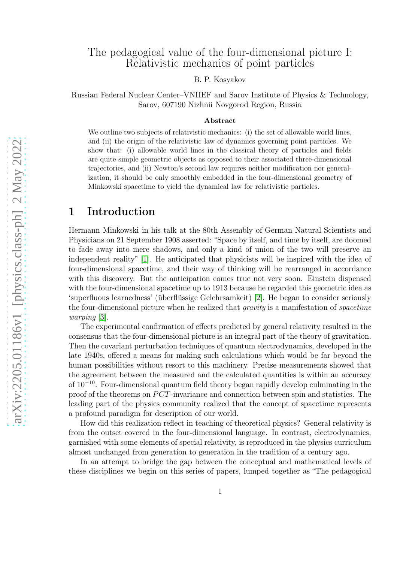## The pedagogical value of the four-dimensional picture I: Relativistic mechanics of point particles

B. P. Kosyakov

Russian Federal Nuclear Center–VNIIEF and Sarov Institute of Physics & Technology, Sarov, 607190 Nizhnii Novgorod Region, Russia

#### Abstract

We outline two subjects of relativistic mechanics: (i) the set of allowable world lines, and (ii) the origin of the relativistic law of dynamics governing point particles. We show that: (i) allowable world lines in the classical theory of particles and fields are quite simple geometric objects as opposed to their associated three-dimensional trajectories, and (ii) Newton's second law requires neither modification nor generalization, it should be only smoothly embedded in the four-dimensional geometry of Minkowski spacetime to yield the dynamical law for relativistic particles.

#### 1 Introduction

Hermann Minkowski in his talk at the 80th Assembly of German Natural Scientists and Physicians on 21 September 1908 asserted: "Space by itself, and time by itself, are doomed to fade away into mere shadows, and only a kind of union of the two will preserve an independent reality" [\[1\]](#page-9-0). He anticipated that physicists will be inspired with the idea of four-dimensional spacetime, and their way of thinking will be rearranged in accordance with this discovery. But the anticipation comes true not very soon. Einstein dispensed with the four-dimensional spacetime up to 1913 because he regarded this geometric idea as 'superfluous learnedness' (überflüssige Gelehrsamkeit) [\[2\]](#page-9-1). He began to consider seriously the four-dimensional picture when he realized that *gravity* is a manifestation of *spacetime* warping [\[3\]](#page-9-2).

The experimental confirmation of effects predicted by general relativity resulted in the consensus that the four-dimensional picture is an integral part of the theory of gravitation. Then the covariant perturbation techniques of quantum electrodynamics, developed in the late 1940s, offered a means for making such calculations which would be far beyond the human possibilities without resort to this machinery. Precise measurements showed that the agreement between the measured and the calculated quantities is within an accuracy of 10<sup>−</sup><sup>10</sup>. Four-dimensional quantum field theory began rapidly develop culminating in the proof of the theorems on PCT-invariance and connection between spin and statistics. The leading part of the physics community realized that the concept of spacetime represents a profound paradigm for description of our world.

How did this realization reflect in teaching of theoretical physics? General relativity is from the outset covered in the four-dimensional language. In contrast, electrodynamics, garnished with some elements of special relativity, is reproduced in the physics curriculum almost unchanged from generation to generation in the tradition of a century ago.

In an attempt to bridge the gap between the conceptual and mathematical levels of these disciplines we begin on this series of papers, lumped together as "The pedagogical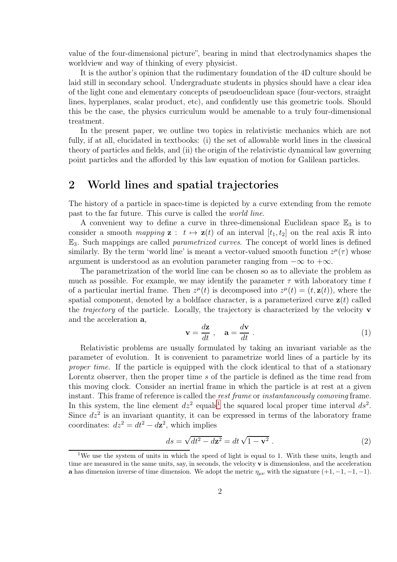value of the four-dimensional picture", bearing in mind that electrodynamics shapes the worldview and way of thinking of every physicist.

It is the author's opinion that the rudimentary foundation of the 4D culture should be laid still in secondary school. Undergraduate students in physics should have a clear idea of the light cone and elementary concepts of pseudoeuclidean space (four-vectors, straight lines, hyperplanes, scalar product, etc), and confidently use this geometric tools. Should this be the case, the physics curriculum would be amenable to a truly four-dimensional treatment.

In the present paper, we outline two topics in relativistic mechanics which are not fully, if at all, elucidated in textbooks: (i) the set of allowable world lines in the classical theory of particles and fields, and (ii) the origin of the relativistic dynamical law governing point particles and the afforded by this law equation of motion for Galilean particles.

### 2 World lines and spatial trajectories

The history of a particle in space-time is depicted by a curve extending from the remote past to the far future. This curve is called the world line.

A convenient way to define a curve in three-dimensional Euclidean space  $\mathbb{E}_3$  is to consider a smooth mapping  $z : t \mapsto z(t)$  of an interval  $[t_1, t_2]$  on the real axis R into  $\mathbb{E}_3$ . Such mappings are called *parametrized curves*. The concept of world lines is defined similarly. By the term 'world line' is meant a vector-valued smooth function  $z^{\mu}(\tau)$  whose argument is understood as an evolution parameter ranging from  $-\infty$  to  $+\infty$ .

The parametrization of the world line can be chosen so as to alleviate the problem as much as possible. For example, we may identify the parameter  $\tau$  with laboratory time t of a particular inertial frame. Then  $z^{\mu}(t)$  is decomposed into  $z^{\mu}(t) = (t, \mathbf{z}(t))$ , where the spatial component, denoted by a boldface character, is a parameterized curve  $z(t)$  called the *trajectory* of the particle. Locally, the trajectory is characterized by the velocity  $\bf{v}$ and the acceleration a,

$$
\mathbf{v} = \frac{d\mathbf{z}}{dt} , \quad \mathbf{a} = \frac{d\mathbf{v}}{dt} . \tag{1}
$$

Relativistic problems are usually formulated by taking an invariant variable as the parameter of evolution. It is convenient to parametrize world lines of a particle by its proper time. If the particle is equipped with the clock identical to that of a stationary Lorentz observer, then the proper time s of the particle is defined as the time read from this moving clock. Consider an inertial frame in which the particle is at rest at a given instant. This frame of reference is called the *rest frame* or *instantaneously comoving* frame. In this system, the line element  $dz^2$  equals<sup>[1](#page-1-0)</sup> the squared local proper time interval  $ds^2$ . Since  $dz^2$  is an invariant quantity, it can be expressed in terms of the laboratory frame coordinates:  $dz^2 = dt^2 - d\mathbf{z}^2$ , which implies

<span id="page-1-1"></span>
$$
ds = \sqrt{dt^2 - d\mathbf{z}^2} = dt\sqrt{1 - \mathbf{v}^2} . \tag{2}
$$

<span id="page-1-0"></span><sup>&</sup>lt;sup>1</sup>We use the system of units in which the speed of light is equal to 1. With these units, length and time are measured in the same units, say, in seconds, the velocity v is dimensionless, and the acceleration **a** has dimension inverse of time dimension. We adopt the metric  $\eta_{\mu\nu}$  with the signature  $(+1, -1, -1, -1)$ .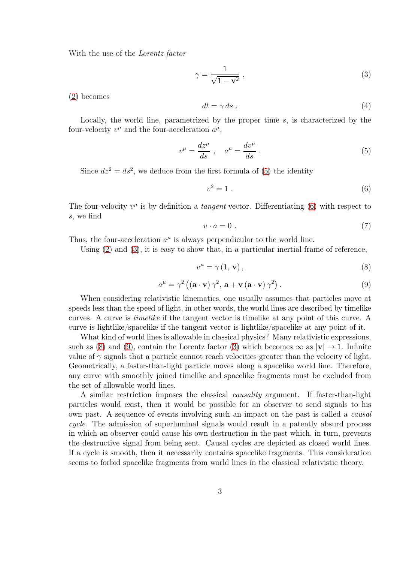With the use of the Lorentz factor

<span id="page-2-2"></span>
$$
\gamma = \frac{1}{\sqrt{1 - \mathbf{v}^2}} \,,\tag{3}
$$

[\(2\)](#page-1-1) becomes

<span id="page-2-6"></span>
$$
dt = \gamma \, ds \tag{4}
$$

Locally, the world line, parametrized by the proper time s, is characterized by the four-velocity  $v^{\mu}$  and the four-acceleration  $a^{\mu}$ ,

<span id="page-2-0"></span>
$$
v^{\mu} = \frac{dz^{\mu}}{ds} , \quad a^{\mu} = \frac{dv^{\mu}}{ds} . \tag{5}
$$

Since  $dz^2 = ds^2$ , we deduce from the first formula of [\(5\)](#page-2-0) the identity

<span id="page-2-1"></span>
$$
v^2 = 1 \tag{6}
$$

The four-velocity  $v^{\mu}$  is by definition a *tangent* vector. Differentiating [\(6\)](#page-2-1) with respect to s, we find

<span id="page-2-5"></span>
$$
v \cdot a = 0 \tag{7}
$$

Thus, the four-acceleration  $a^{\mu}$  is always perpendicular to the world line.

Using  $(2)$  and  $(3)$ , it is easy to show that, in a particular inertial frame of reference,

<span id="page-2-3"></span>
$$
v^{\mu} = \gamma (1, \mathbf{v}), \tag{8}
$$

<span id="page-2-4"></span>
$$
a^{\mu} = \gamma^2 \left( (\mathbf{a} \cdot \mathbf{v}) \gamma^2, \, \mathbf{a} + \mathbf{v} \left( \mathbf{a} \cdot \mathbf{v} \right) \gamma^2 \right). \tag{9}
$$

When considering relativistic kinematics, one usually assumes that particles move at speeds less than the speed of light, in other words, the world lines are described by timelike curves. A curve is timelike if the tangent vector is timelike at any point of this curve. A curve is lightlike/spacelike if the tangent vector is lightlike/spacelike at any point of it.

What kind of world lines is allowable in classical physics? Many relativistic expressions, such as [\(8\)](#page-2-3) and [\(9\)](#page-2-4), contain the Lorentz factor [\(3\)](#page-2-2) which becomes  $\infty$  as  $|v| \to 1$ . Infinite value of  $\gamma$  signals that a particle cannot reach velocities greater than the velocity of light. Geometrically, a faster-than-light particle moves along a spacelike world line. Therefore, any curve with smoothly joined timelike and spacelike fragments must be excluded from the set of allowable world lines.

A similar restriction imposes the classical causality argument. If faster-than-light particles would exist, then it would be possible for an observer to send signals to his own past. A sequence of events involving such an impact on the past is called a causal cycle. The admission of superluminal signals would result in a patently absurd process in which an observer could cause his own destruction in the past which, in turn, prevents the destructive signal from being sent. Causal cycles are depicted as closed world lines. If a cycle is smooth, then it necessarily contains spacelike fragments. This consideration seems to forbid spacelike fragments from world lines in the classical relativistic theory.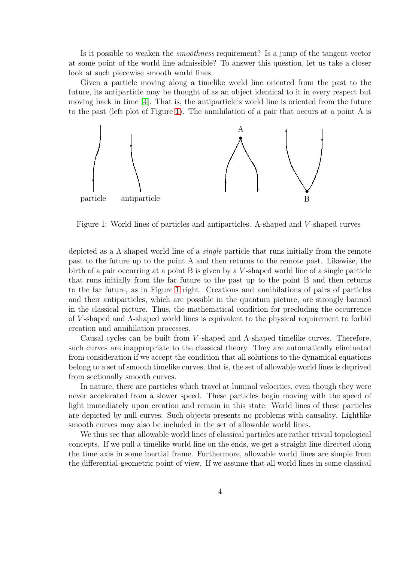Is it possible to weaken the smoothness requirement? Is a jump of the tangent vector at some point of the world line admissible? To answer this question, let us take a closer look at such piecewise smooth world lines.

Given a particle moving along a timelike world line oriented from the past to the future, its antiparticle may be thought of as an object identical to it in every respect but moving back in time [\[4\]](#page-9-3). That is, the antiparticle's world line is oriented from the future to the past (left plot of Figure [1\)](#page-3-0). The annihilation of a pair that occurs at a point A is



<span id="page-3-0"></span>Figure 1: World lines of particles and antiparticles. Λ-shaped and V -shaped curves

depicted as a Λ-shaped world line of a single particle that runs initially from the remote past to the future up to the point A and then returns to the remote past. Likewise, the birth of a pair occurring at a point B is given by a V -shaped world line of a single particle that runs initially from the far future to the past up to the point B and then returns to the far future, as in Figure [1](#page-3-0) right. Creations and annihilations of pairs of particles and their antiparticles, which are possible in the quantum picture, are strongly banned in the classical picture. Thus, the mathematical condition for precluding the occurrence of V -shaped and Λ-shaped world lines is equivalent to the physical requirement to forbid creation and annihilation processes.

Causal cycles can be built from V -shaped and Λ-shaped timelike curves. Therefore, such curves are inappropriate to the classical theory. They are automatically eliminated from consideration if we accept the condition that all solutions to the dynamical equations belong to a set of smooth timelike curves, that is, the set of allowable world lines is deprived from sectionally smooth curves.

In nature, there are particles which travel at luminal velocities, even though they were never accelerated from a slower speed. These particles begin moving with the speed of light immediately upon creation and remain in this state. World lines of these particles are depicted by null curves. Such objects presents no problems with causality. Lightlike smooth curves may also be included in the set of allowable world lines.

We thus see that allowable world lines of classical particles are rather trivial topological concepts. If we pull a timelike world line on the ends, we get a straight line directed along the time axis in some inertial frame. Furthermore, allowable world lines are simple from the differential-geometric point of view. If we assume that all world lines in some classical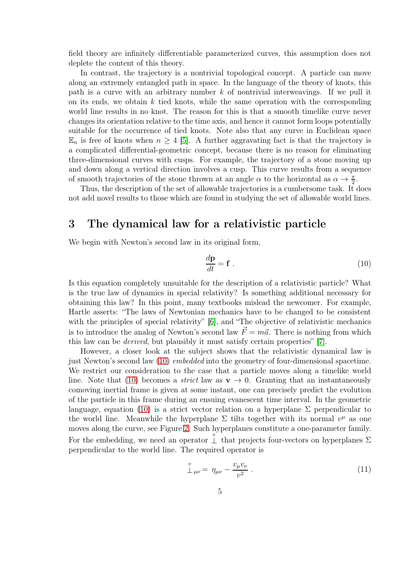field theory are infinitely differentiable parameterized curves, this assumption does not deplete the content of this theory.

In contrast, the trajectory is a nontrivial topological concept. A particle can move along an extremely entangled path in space. In the language of the theory of knots, this path is a curve with an arbitrary number  $k$  of nontrivial interweavings. If we pull it on its ends, we obtain  $k$  tied knots, while the same operation with the corresponding world line results in no knot. The reason for this is that a smooth timelike curve never changes its orientation relative to the time axis, and hence it cannot form loops potentially suitable for the occurrence of tied knots. Note also that any curve in Euclidean space  $\mathbb{E}_n$  is free of knots when  $n \geq 4$  [\[5\]](#page-9-4). A further aggravating fact is that the trajectory is a complicated differential-geometric concept, because there is no reason for eliminating three-dimensional curves with cusps. For example, the trajectory of a stone moving up and down along a vertical direction involves a cusp. This curve results from a sequence of smooth trajectories of the stone thrown at an angle  $\alpha$  to the horizontal as  $\alpha \to \frac{\pi}{2}$ .

Thus, the description of the set of allowable trajectories is a cumbersome task. It does not add novel results to those which are found in studying the set of allowable world lines.

#### 3 The dynamical law for a relativistic particle

We begin with Newton's second law in its original form,

<span id="page-4-0"></span>
$$
\frac{d\mathbf{p}}{dt} = \mathbf{f} \tag{10}
$$

Is this equation completely unsuitable for the description of a relativistic particle? What is the true law of dynamics in special relativity? Is something additional necessary for obtaining this law? In this point, many textbooks mislead the newcomer. For example, Hartle asserts: "The laws of Newtonian mechanics have to be changed to be consistent with the principles of special relativity" [\[6\]](#page-9-5), and "The objective of relativistic mechanics is to introduce the analog of Newton's second law  $\vec{F} = m\vec{a}$ . There is nothing from which this law can be derived, but plausibly it must satisfy certain properties" [\[7\]](#page-9-6).

However, a closer look at the subject shows that the relativistic dynamical law is just Newton's second law [\(10\)](#page-4-0) embedded into the geometry of four-dimensional spacetime. We restrict our consideration to the case that a particle moves along a timelike world line. Note that [\(10\)](#page-4-0) becomes a *strict* law as  $v \to 0$ . Granting that an instantaneously comoving inertial frame is given at some instant, one can precisely predict the evolution of the particle in this frame during an ensuing evanescent time interval. In the geometric language, equation [\(10\)](#page-4-0) is a strict vector relation on a hyperplane  $\Sigma$  perpendicular to the world line. Meanwhile the hyperplane  $\Sigma$  tilts together with its normal  $v^{\mu}$  as one moves along the curve, see Figure [2.](#page-5-0) Such hyperplanes constitute a one-parameter family. For the embedding, we need an operator  $\int_{0}^{v}$  that projects four-vectors on hyperplanes  $\Sigma$ perpendicular to the world line. The required operator is

<span id="page-4-1"></span>
$$
\mathcal{L}_{\mu\nu} = \eta_{\mu\nu} - \frac{v_{\mu}v_{\nu}}{v^2} \,. \tag{11}
$$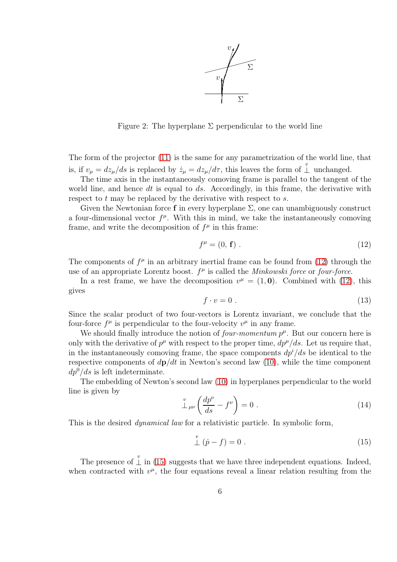

<span id="page-5-0"></span>Figure 2: The hyperplane  $\Sigma$  perpendicular to the world line

The form of the projector [\(11\)](#page-4-1) is the same for any parametrization of the world line, that is, if  $v_{\mu} = dz_{\mu}/ds$  is replaced by  $\dot{z}_{\mu} = dz_{\mu}/d\tau$ , this leaves the form of  $\int_{-\infty}^{v}$  unchanged.

The time axis in the instantaneously comoving frame is parallel to the tangent of the world line, and hence dt is equal to ds. Accordingly, in this frame, the derivative with respect to t may be replaced by the derivative with respect to s.

Given the Newtonian force f in every hyperplane  $\Sigma$ , one can unambiguously construct a four-dimensional vector  $f^{\mu}$ . With this in mind, we take the instantaneously comoving frame, and write the decomposition of  $f^{\mu}$  in this frame:

<span id="page-5-1"></span>
$$
f^{\mu} = (0, \mathbf{f}) \tag{12}
$$

The components of  $f^{\mu}$  in an arbitrary inertial frame can be found from [\(12\)](#page-5-1) through the use of an appropriate Lorentz boost.  $f^{\mu}$  is called the *Minkowski force* or *four-force*.

In a rest frame, we have the decomposition  $v^{\mu} = (1, 0)$ . Combined with [\(12\)](#page-5-1), this gives

<span id="page-5-3"></span>
$$
f \cdot v = 0 \tag{13}
$$

Since the scalar product of two four-vectors is Lorentz invariant, we conclude that the four-force  $f^{\mu}$  is perpendicular to the four-velocity  $v^{\mu}$  in any frame.

We should finally introduce the notion of *four-momentum*  $p^{\mu}$ . But our concern here is only with the derivative of  $p^{\mu}$  with respect to the proper time,  $dp^{\mu}/ds$ . Let us require that, in the instantaneously comoving frame, the space components  $dp<sup>i</sup>/ds$  be identical to the respective components of  $dp/dt$  in Newton's second law [\(10\)](#page-4-0), while the time component  $dp^0/ds$  is left indeterminate.

The embedding of Newton's second law [\(10\)](#page-4-0) in hyperplanes perpendicular to the world line is given by

<span id="page-5-4"></span>
$$
\mathcal{L}_{\mu\nu}\left(\frac{dp^{\nu}}{ds} - f^{\nu}\right) = 0.
$$
\n(14)

This is the desired *dynamical law* for a relativistic particle. In symbolic form,

<span id="page-5-2"></span>
$$
\mathop{\perp}\limits^v \left( \dot{p} - f \right) = 0 \ . \tag{15}
$$

The presence of  $\perp$  in [\(15\)](#page-5-2) suggests that we have three independent equations. Indeed, when contracted with  $v^{\mu}$ , the four equations reveal a linear relation resulting from the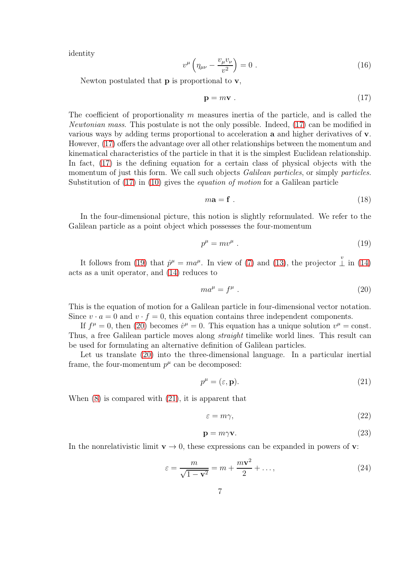identity

$$
v^{\mu} \left( \eta_{\mu\nu} - \frac{v_{\mu} v_{\nu}}{v^2} \right) = 0 \tag{16}
$$

Newton postulated that  $\bf{p}$  is proportional to  $\bf{v}$ ,

<span id="page-6-0"></span>
$$
\mathbf{p} = m\mathbf{v} \tag{17}
$$

The coefficient of proportionality  $m$  measures inertia of the particle, and is called the Newtonian mass. This postulate is not the only possible. Indeed, [\(17\)](#page-6-0) can be modified in various ways by adding terms proportional to acceleration a and higher derivatives of v. However, [\(17\)](#page-6-0) offers the advantage over all other relationships between the momentum and kinematical characteristics of the particle in that it is the simplest Euclidean relationship. In fact, [\(17\)](#page-6-0) is the defining equation for a certain class of physical objects with the momentum of just this form. We call such objects *Galilean particles*, or simply *particles*. Substitution of  $(17)$  in  $(10)$  gives the *equation of motion* for a Galilean particle

$$
m\mathbf{a} = \mathbf{f} \tag{18}
$$

In the four-dimensional picture, this notion is slightly reformulated. We refer to the Galilean particle as a point object which possesses the four-momentum

<span id="page-6-1"></span>
$$
p^{\mu} = mv^{\mu} \tag{19}
$$

It follows from [\(19\)](#page-6-1) that  $\dot{p}^{\mu} = ma^{\mu}$ . In view of [\(7\)](#page-2-5) and [\(13\)](#page-5-3), the projector  $\frac{v}{\perp}$  in [\(14\)](#page-5-4) acts as a unit operator, and [\(14\)](#page-5-4) reduces to

<span id="page-6-2"></span>
$$
ma^{\mu} = f^{\mu} \tag{20}
$$

This is the equation of motion for a Galilean particle in four-dimensional vector notation. Since  $v \cdot a = 0$  and  $v \cdot f = 0$ , this equation contains three independent components.

If  $f^{\mu} = 0$ , then [\(20\)](#page-6-2) becomes  $\dot{v}^{\mu} = 0$ . This equation has a unique solution  $v^{\mu} = \text{const.}$ Thus, a free Galilean particle moves along *straight* timelike world lines. This result can be used for formulating an alternative definition of Galilean particles.

Let us translate [\(20\)](#page-6-2) into the three-dimensional language. In a particular inertial frame, the four-momentum  $p^{\mu}$  can be decomposed:

<span id="page-6-3"></span>
$$
p^{\mu} = (\varepsilon, \mathbf{p}).\tag{21}
$$

When [\(8\)](#page-2-3) is compared with [\(21\)](#page-6-3), it is apparent that

$$
\varepsilon = m\gamma,\tag{22}
$$

$$
\mathbf{p} = m\gamma \mathbf{v}.\tag{23}
$$

In the nonrelativistic limit  $\mathbf{v} \to 0$ , these expressions can be expanded in powers of  $\mathbf{v}$ :

<span id="page-6-4"></span>
$$
\varepsilon = \frac{m}{\sqrt{1 - \mathbf{v}^2}} = m + \frac{m\mathbf{v}^2}{2} + \dots,\tag{24}
$$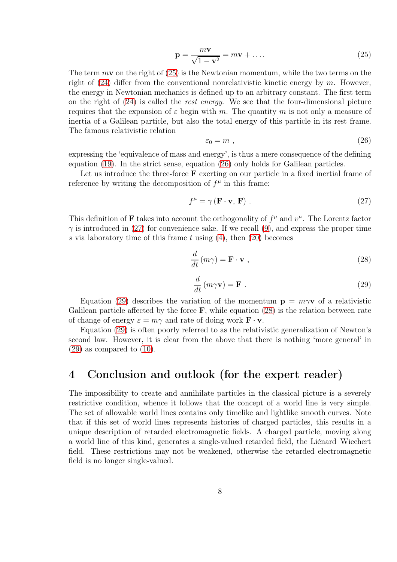<span id="page-7-0"></span>
$$
\mathbf{p} = \frac{m\mathbf{v}}{\sqrt{1 - \mathbf{v}^2}} = m\mathbf{v} + \dots
$$
 (25)

The term  $m\mathbf{v}$  on the right of [\(25\)](#page-7-0) is the Newtonian momentum, while the two terms on the right of  $(24)$  differ from the conventional nonrelativistic kinetic energy by m. However, the energy in Newtonian mechanics is defined up to an arbitrary constant. The first term on the right of  $(24)$  is called the *rest energy*. We see that the four-dimensional picture requires that the expansion of  $\varepsilon$  begin with m. The quantity m is not only a measure of inertia of a Galilean particle, but also the total energy of this particle in its rest frame. The famous relativistic relation

<span id="page-7-1"></span>
$$
\varepsilon_0 = m \tag{26}
$$

expressing the 'equivalence of mass and energy', is thus a mere consequence of the defining equation [\(19\)](#page-6-1). In the strict sense, equation [\(26\)](#page-7-1) only holds for Galilean particles.

Let us introduce the three-force  $\bf{F}$  exerting on our particle in a fixed inertial frame of reference by writing the decomposition of  $f^{\mu}$  in this frame:

<span id="page-7-2"></span>
$$
f^{\mu} = \gamma (\mathbf{F} \cdot \mathbf{v}, \mathbf{F}) \tag{27}
$$

This definition of **F** takes into account the orthogonality of  $f^{\mu}$  and  $v^{\mu}$ . The Lorentz factor  $\gamma$  is introduced in [\(27\)](#page-7-2) for convenience sake. If we recall [\(9\)](#page-2-4), and express the proper time s via laboratory time of this frame t using  $(4)$ , then  $(20)$  becomes

<span id="page-7-4"></span>
$$
\frac{d}{dt}(m\gamma) = \mathbf{F} \cdot \mathbf{v} \tag{28}
$$

<span id="page-7-3"></span>
$$
\frac{d}{dt}(m\gamma \mathbf{v}) = \mathbf{F} \tag{29}
$$

Equation [\(29\)](#page-7-3) describes the variation of the momentum  $\mathbf{p} = m\gamma \mathbf{v}$  of a relativistic Galilean particle affected by the force  $\bf{F}$ , while equation [\(28\)](#page-7-4) is the relation between rate of change of energy  $\varepsilon = m\gamma$  and rate of doing work  $\mathbf{F} \cdot \mathbf{v}$ .

Equation [\(29\)](#page-7-3) is often poorly referred to as the relativistic generalization of Newton's second law. However, it is clear from the above that there is nothing 'more general' in  $(29)$  as compared to  $(10)$ .

## 4 Conclusion and outlook (for the expert reader)

The impossibility to create and annihilate particles in the classical picture is a severely restrictive condition, whence it follows that the concept of a world line is very simple. The set of allowable world lines contains only timelike and lightlike smooth curves. Note that if this set of world lines represents histories of charged particles, this results in a unique description of retarded electromagnetic fields. A charged particle, moving along a world line of this kind, generates a single-valued retarded field, the Lienard–Wiechert field. These restrictions may not be weakened, otherwise the retarded electromagnetic field is no longer single-valued.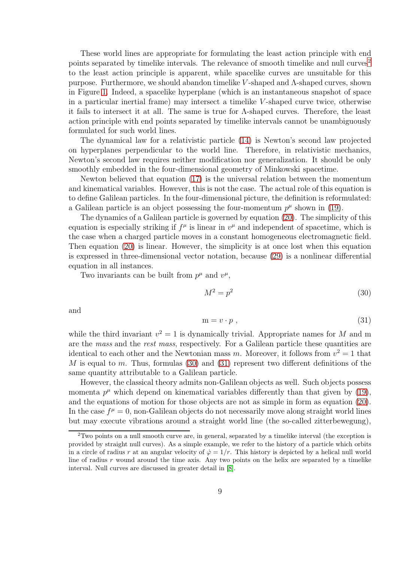These world lines are appropriate for formulating the least action principle with end points separated by timelike intervals. The relevance of smooth timelike and null curves<sup>[2](#page-8-0)</sup> to the least action principle is apparent, while spacelike curves are unsuitable for this purpose. Furthermore, we should abandon timelike V -shaped and Λ-shaped curves, shown in Figure [1.](#page-3-0) Indeed, a spacelike hyperplane (which is an instantaneous snapshot of space in a particular inertial frame) may intersect a timelike V -shaped curve twice, otherwise it fails to intersect it at all. The same is true for Λ-shaped curves. Therefore, the least action principle with end points separated by timelike intervals cannot be unambiguously formulated for such world lines.

The dynamical law for a relativistic particle [\(14\)](#page-5-4) is Newton's second law projected on hyperplanes perpendicular to the world line. Therefore, in relativistic mechanics, Newton's second law requires neither modification nor generalization. It should be only smoothly embedded in the four-dimensional geometry of Minkowski spacetime.

Newton believed that equation [\(17\)](#page-6-0) is the universal relation between the momentum and kinematical variables. However, this is not the case. The actual role of this equation is to define Galilean particles. In the four-dimensional picture, the definition is reformulated: a Galilean particle is an object possessing the four-momentum  $p^{\mu}$  shown in [\(19\)](#page-6-1).

The dynamics of a Galilean particle is governed by equation [\(20\)](#page-6-2). The simplicity of this equation is especially striking if  $f^{\mu}$  is linear in  $v^{\mu}$  and independent of spacetime, which is the case when a charged particle moves in a constant homogeneous electromagnetic field. Then equation [\(20\)](#page-6-2) is linear. However, the simplicity is at once lost when this equation is expressed in three-dimensional vector notation, because [\(29\)](#page-7-3) is a nonlinear differential equation in all instances.

Two invariants can be built from  $p^{\mu}$  and  $v^{\mu}$ ,

<span id="page-8-1"></span>
$$
M^2 = p^2 \tag{30}
$$

and

<span id="page-8-2"></span>
$$
m = v \cdot p \tag{31}
$$

while the third invariant  $v^2 = 1$  is dynamically trivial. Appropriate names for M and m are the mass and the rest mass, respectively. For a Galilean particle these quantities are identical to each other and the Newtonian mass m. Moreover, it follows from  $v^2 = 1$  that M is equal to m. Thus, formulas  $(30)$  and  $(31)$  represent two different definitions of the same quantity attributable to a Galilean particle.

However, the classical theory admits non-Galilean objects as well. Such objects possess momenta  $p^{\mu}$  which depend on kinematical variables differently than that given by [\(19\)](#page-6-1), and the equations of motion for those objects are not as simple in form as equation [\(20\)](#page-6-2). In the case  $f^{\mu} = 0$ , non-Galilean objects do not necessarily move along straight world lines but may execute vibrations around a straight world line (the so-called zitterbewegung),

<span id="page-8-0"></span><sup>2</sup>Two points on a null smooth curve are, in general, separated by a timelike interval (the exception is provided by straight null curves). As a simple example, we refer to the history of a particle which orbits in a circle of radius r at an angular velocity of  $\dot{\varphi} = 1/r$ . This history is depicted by a helical null world line of radius  $r$  wound around the time axis. Any two points on the helix are separated by a timelike interval. Null curves are discussed in greater detail in [\[8\]](#page-9-7).